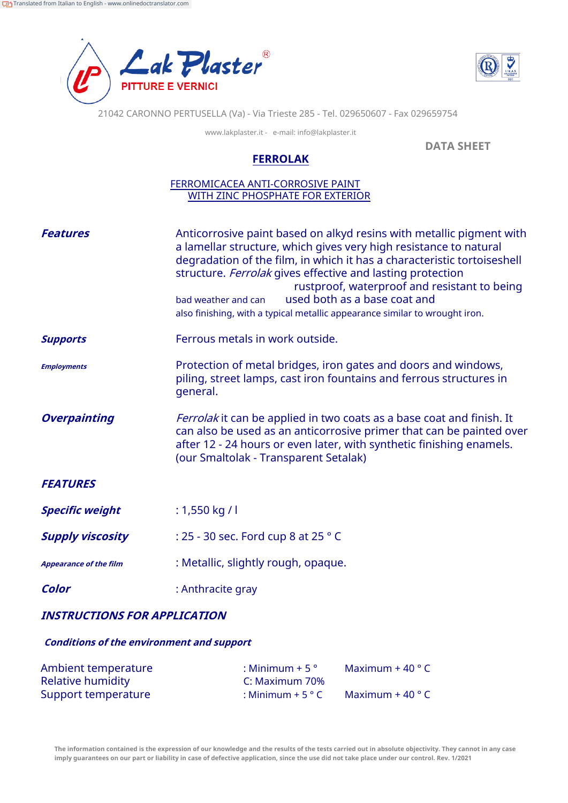



21042 CARONNO PERTUSELLA (Va) - Via Trieste 285 - Tel. 029650607 - Fax 029659754

www.lakplaster.it - e-mail: info@lakplaster.it

**DATA SHEET**

## **FERROLAK**

### FERROMICACEA ANTI-CORROSIVE PAINT WITH ZINC PHOSPHATE FOR EXTERIOR

| <b>Features</b>               | Anticorrosive paint based on alkyd resins with metallic pigment with<br>a lamellar structure, which gives very high resistance to natural<br>degradation of the film, in which it has a characteristic tortoiseshell<br>structure. Ferrolak gives effective and lasting protection<br>rustproof, waterproof and resistant to being<br>used both as a base coat and<br>bad weather and can<br>also finishing, with a typical metallic appearance similar to wrought iron. |
|-------------------------------|--------------------------------------------------------------------------------------------------------------------------------------------------------------------------------------------------------------------------------------------------------------------------------------------------------------------------------------------------------------------------------------------------------------------------------------------------------------------------|
| <b>Supports</b>               | Ferrous metals in work outside.                                                                                                                                                                                                                                                                                                                                                                                                                                          |
| <b>Employments</b>            | Protection of metal bridges, iron gates and doors and windows,<br>piling, street lamps, cast iron fountains and ferrous structures in<br>general.                                                                                                                                                                                                                                                                                                                        |
| <b>Overpainting</b>           | Ferrolak it can be applied in two coats as a base coat and finish. It<br>can also be used as an anticorrosive primer that can be painted over<br>after 12 - 24 hours or even later, with synthetic finishing enamels.<br>(our Smaltolak - Transparent Setalak)                                                                                                                                                                                                           |
| <b>FEATURES</b>               |                                                                                                                                                                                                                                                                                                                                                                                                                                                                          |
| <b>Specific weight</b>        | : 1,550 kg / l                                                                                                                                                                                                                                                                                                                                                                                                                                                           |
| <b>Supply viscosity</b>       | : 25 - 30 sec. Ford cup 8 at 25 ° C                                                                                                                                                                                                                                                                                                                                                                                                                                      |
| <b>Appearance of the film</b> | : Metallic, slightly rough, opaque.                                                                                                                                                                                                                                                                                                                                                                                                                                      |
| Color                         | : Anthracite gray                                                                                                                                                                                                                                                                                                                                                                                                                                                        |

**INSTRUCTIONS FOR APPLICATION**

## **Conditions of the environment and support**

| Ambient temperature | : Minimum + 5 $^{\circ}$   | Maximum + 40 $^{\circ}$ C        |
|---------------------|----------------------------|----------------------------------|
| Relative humidity   | C: Maximum 70%             |                                  |
| Support temperature | : Minimum + 5 $^{\circ}$ C | Maximum + 40 $^{\circ}$ C $^{-}$ |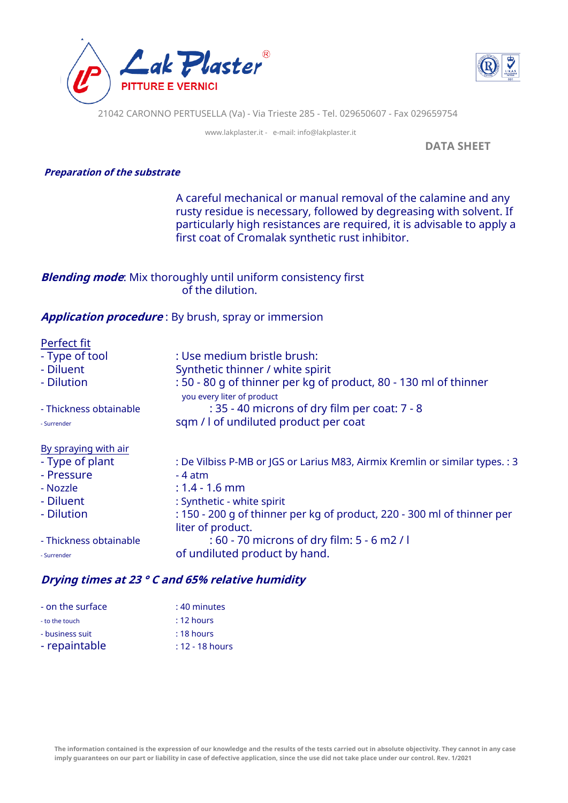



21042 CARONNO PERTUSELLA (Va) - Via Trieste 285 - Tel. 029650607 - Fax 029659754

www.lakplaster.it - e-mail: info@lakplaster.it

**DATA SHEET**

#### **Preparation of the substrate**

A careful mechanical or manual removal of the calamine and any rusty residue is necessary, followed by degreasing with solvent. If particularly high resistances are required, it is advisable to apply a first coat of Cromalak synthetic rust inhibitor.

**Blending mode**: Mix thoroughly until uniform consistency first of the dilution.

#### **Application procedure** : By brush, spray or immersion

| Perfect fit<br>- Type of tool<br>- Diluent<br>- Dilution | : Use medium bristle brush:<br>Synthetic thinner / white spirit<br>: 50 - 80 g of thinner per kg of product, 80 - 130 ml of thinner<br>you every liter of product |
|----------------------------------------------------------|-------------------------------------------------------------------------------------------------------------------------------------------------------------------|
| - Thickness obtainable                                   | : 35 - 40 microns of dry film per coat: 7 - 8                                                                                                                     |
| - Surrender                                              | sqm / I of undiluted product per coat                                                                                                                             |
| By spraying with air                                     |                                                                                                                                                                   |
| - Type of plant                                          | : De Vilbiss P-MB or JGS or Larius M83, Airmix Kremlin or similar types. : 3                                                                                      |
| - Pressure                                               | $-4$ atm                                                                                                                                                          |
| - Nozzle                                                 | $: 1.4 - 1.6$ mm                                                                                                                                                  |
| - Diluent                                                | : Synthetic - white spirit                                                                                                                                        |
| - Dilution                                               | : 150 - 200 g of thinner per kg of product, 220 - 300 ml of thinner per                                                                                           |
| - Thickness obtainable<br>- Surrender                    | liter of product.<br>: 60 - 70 microns of dry film: 5 - 6 m2 / l<br>of undiluted product by hand.                                                                 |

# **Drying times at 23 ° C and 65% relative humidity**

| - on the surface | $: 40$ minutes    |
|------------------|-------------------|
| - to the touch   | $: 12$ hours      |
| - business suit  | $: 18$ hours      |
| - repaintable    | $: 12 - 18$ hours |